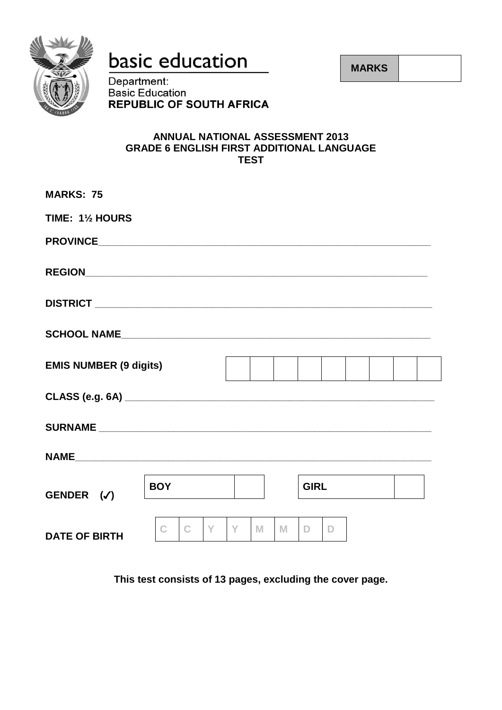

basic education

**MARKS**

Department: **Basic Education REPUBLIC OF SOUTH AFRICA** 

### **ANNUAL NATIONAL ASSESSMENT 2013 GRADE 6 ENGLISH FIRST ADDITIONAL LANGUAGE TEST**

| <b>MARKS: 75</b>              |            |        |   |             |  |  |
|-------------------------------|------------|--------|---|-------------|--|--|
| TIME: 11/2 HOURS              |            |        |   |             |  |  |
|                               |            |        |   |             |  |  |
|                               |            |        |   |             |  |  |
|                               |            |        |   |             |  |  |
|                               |            |        |   |             |  |  |
| <b>EMIS NUMBER (9 digits)</b> |            |        |   |             |  |  |
|                               |            |        |   |             |  |  |
|                               |            |        |   |             |  |  |
|                               |            |        |   |             |  |  |
| GENDER $(\checkmark)$         | <b>BOY</b> |        |   | <b>GIRL</b> |  |  |
| <b>DATE OF BIRTH</b>          | Y<br>C     | Y<br>M | M | D<br>D      |  |  |

**This test consists of 13 pages, excluding the cover page.**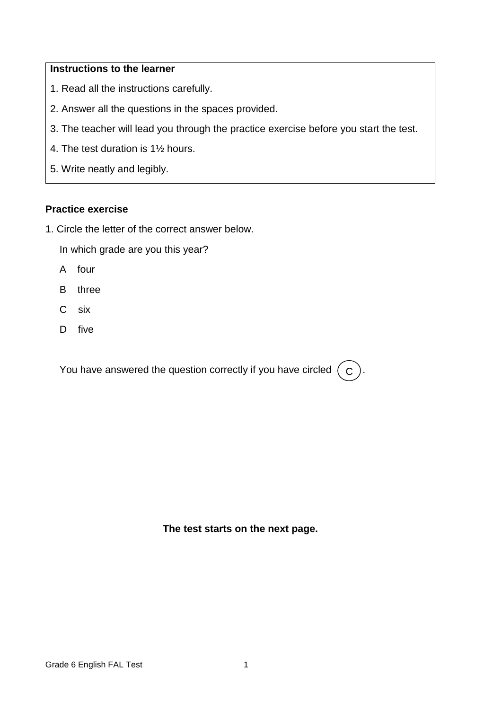### **Instructions to the learner**

- 1. Read all the instructions carefully.
- 2. Answer all the questions in the spaces provided.
- 3. The teacher will lead you through the practice exercise before you start the test.
- 4. The test duration is 1½ hours.
- 5. Write neatly and legibly.

### **Practice exercise**

1. Circle the letter of the correct answer below.

In which grade are you this year?

- A four
- B three
- C six
- D five

You have answered the question correctly if you have circled  $($  C  $)$ .

**The test starts on the next page.**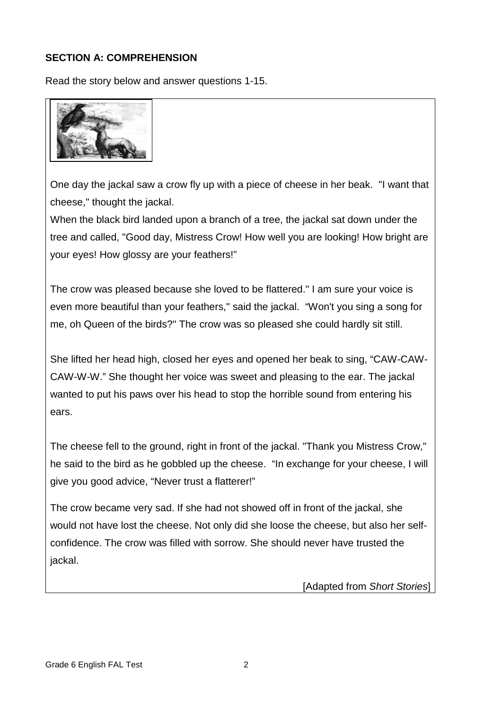# **SECTION A: COMPREHENSION**

Read the story below and answer questions 1-15.



One day the jackal saw a crow fly up with a piece of cheese in her beak. "I want that cheese," thought the jackal.

When the black bird landed upon a branch of a tree, the jackal sat down under the tree and called, "Good day, Mistress Crow! How well you are looking! How bright are your eyes! How glossy are your feathers!"

The crow was pleased because she loved to be flattered." I am sure your voice is even more beautiful than your feathers," said the jackal. "Won't you sing a song for me, oh Queen of the birds?" The crow was so pleased she could hardly sit still.

She lifted her head high, closed her eyes and opened her beak to sing, "CAW-CAW-CAW-W-W." She thought her voice was sweet and pleasing to the ear. The jackal wanted to put his paws over his head to stop the horrible sound from entering his ears.

The cheese fell to the ground, right in front of the jackal. "Thank you Mistress Crow," he said to the bird as he gobbled up the cheese. "In exchange for your cheese, I will give you good advice, "Never trust a flatterer!"

The crow became very sad. If she had not showed off in front of the jackal, she would not have lost the cheese. Not only did she loose the cheese, but also her selfconfidence. The crow was filled with sorrow. She should never have trusted the jackal.

[Adapted from *Short Stories*]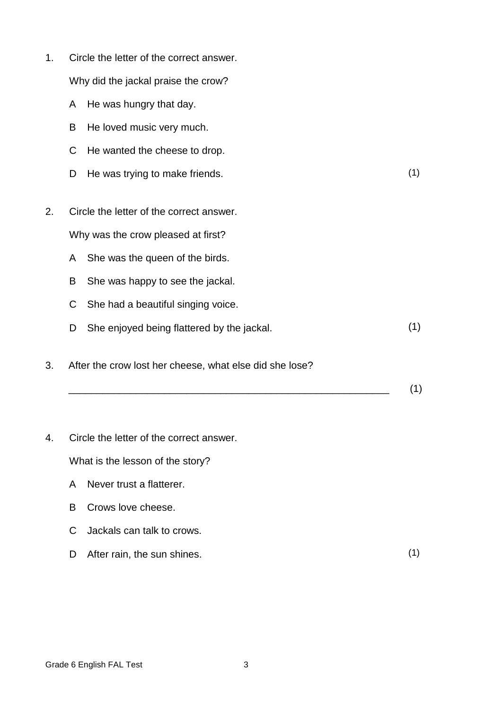- 1. Circle the letter of the correct answer. Why did the jackal praise the crow?
	- A He was hungry that day.
	- B He loved music very much.
	- C He wanted the cheese to drop.
	- D He was trying to make friends. (1)
- 2. Circle the letter of the correct answer. Why was the crow pleased at first?
	- A She was the queen of the birds.
	- B She was happy to see the jackal.
	- C She had a beautiful singing voice.
	- D She enjoyed being flattered by the jackal. (1)
- 3. After the crow lost her cheese, what else did she lose?
	- \_\_\_\_\_\_\_\_\_\_\_\_\_\_\_\_\_\_\_\_\_\_\_\_\_\_\_\_\_\_\_\_\_\_\_\_\_\_\_\_\_\_\_\_\_\_\_\_\_\_\_\_\_\_\_\_\_ (1)
- 4. Circle the letter of the correct answer.

What is the lesson of the story?

- A Never trust a flatterer.
- B Crows love cheese.
- C Jackals can talk to crows.
- D After rain, the sun shines. (1)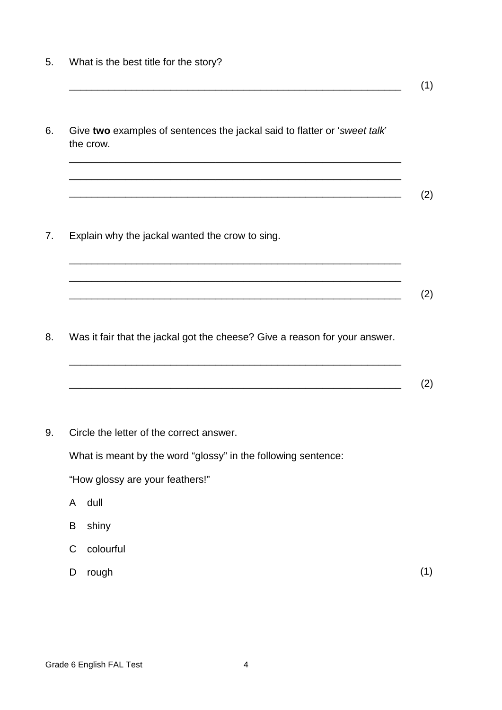- 5. What is the best title for the story?
- 6. Give **two** examples of sentences the jackal said to flatter or '*sweet talk*' the crow.

\_\_\_\_\_\_\_\_\_\_\_\_\_\_\_\_\_\_\_\_\_\_\_\_\_\_\_\_\_\_\_\_\_\_\_\_\_\_\_\_\_\_\_\_\_\_\_\_\_\_\_\_\_\_\_\_\_\_\_

\_\_\_\_\_\_\_\_\_\_\_\_\_\_\_\_\_\_\_\_\_\_\_\_\_\_\_\_\_\_\_\_\_\_\_\_\_\_\_\_\_\_\_\_\_\_\_\_\_\_\_\_\_\_\_\_\_\_\_

\_\_\_\_\_\_\_\_\_\_\_\_\_\_\_\_\_\_\_\_\_\_\_\_\_\_\_\_\_\_\_\_\_\_\_\_\_\_\_\_\_\_\_\_\_\_\_\_\_\_\_\_\_\_\_\_\_\_\_ (2)

\_\_\_\_\_\_\_\_\_\_\_\_\_\_\_\_\_\_\_\_\_\_\_\_\_\_\_\_\_\_\_\_\_\_\_\_\_\_\_\_\_\_\_\_\_\_\_\_\_\_\_\_\_\_\_\_\_\_\_ (1)

7. Explain why the jackal wanted the crow to sing.

- 8. Was it fair that the jackal got the cheese? Give a reason for your answer.
	- \_\_\_\_\_\_\_\_\_\_\_\_\_\_\_\_\_\_\_\_\_\_\_\_\_\_\_\_\_\_\_\_\_\_\_\_\_\_\_\_\_\_\_\_\_\_\_\_\_\_\_\_\_\_\_\_\_\_\_ \_\_\_\_\_\_\_\_\_\_\_\_\_\_\_\_\_\_\_\_\_\_\_\_\_\_\_\_\_\_\_\_\_\_\_\_\_\_\_\_\_\_\_\_\_\_\_\_\_\_\_\_\_\_\_\_\_\_\_ (2)

\_\_\_\_\_\_\_\_\_\_\_\_\_\_\_\_\_\_\_\_\_\_\_\_\_\_\_\_\_\_\_\_\_\_\_\_\_\_\_\_\_\_\_\_\_\_\_\_\_\_\_\_\_\_\_\_\_\_\_

\_\_\_\_\_\_\_\_\_\_\_\_\_\_\_\_\_\_\_\_\_\_\_\_\_\_\_\_\_\_\_\_\_\_\_\_\_\_\_\_\_\_\_\_\_\_\_\_\_\_\_\_\_\_\_\_\_\_\_ (2)

9. Circle the letter of the correct answer.

What is meant by the word "glossy" in the following sentence:

"How glossy are your feathers!"

- A dull
- B shiny
- C colourful
- D rough (1)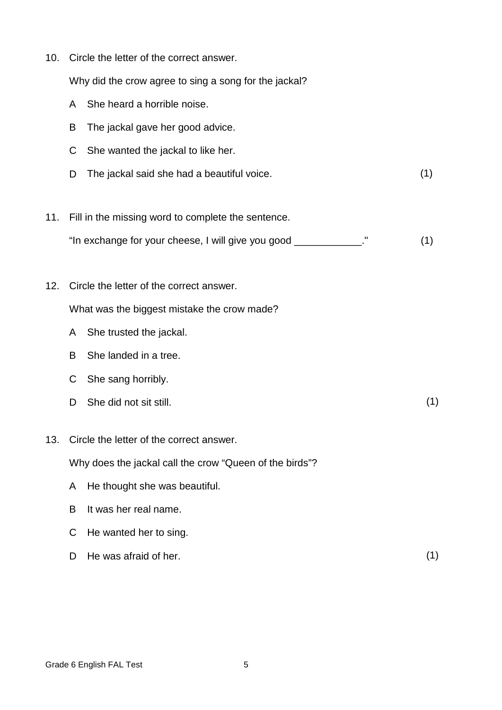10. Circle the letter of the correct answer.

Why did the crow agree to sing a song for the jackal?

- A She heard a horrible noise.
- B The jackal gave her good advice.
- C She wanted the jackal to like her.
- D The jackal said she had a beautiful voice. (1)
- 11. Fill in the missing word to complete the sentence.
	- "In exchange for your cheese, I will give you good \_\_\_\_\_\_\_\_\_\_\_\_." (1)
- 12. Circle the letter of the correct answer.

What was the biggest mistake the crow made?

- A She trusted the jackal.
- B She landed in a tree.
- C She sang horribly.
- D She did not sit still. (1)
- 13. Circle the letter of the correct answer.

Why does the jackal call the crow "Queen of the birds"?

- A He thought she was beautiful.
- B It was her real name.
- C He wanted her to sing.
- D He was afraid of her. (1)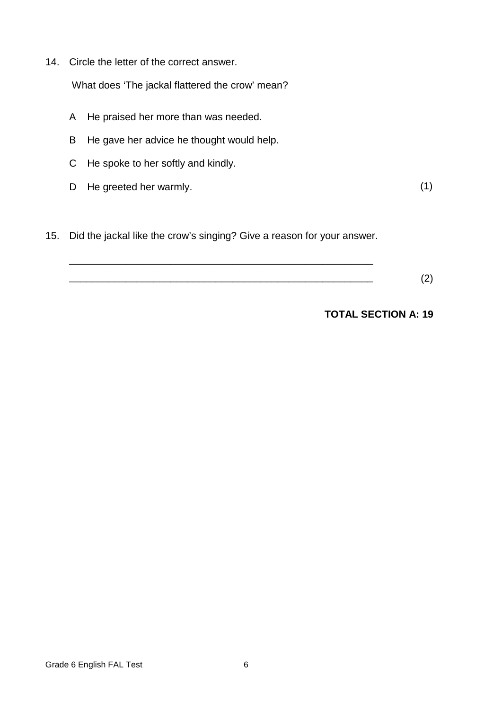14. Circle the letter of the correct answer.

What does 'The jackal flattered the crow' mean?

- A He praised her more than was needed.
- B He gave her advice he thought would help.
- C He spoke to her softly and kindly.
- D He greeted her warmly. (1)

15. Did the jackal like the crow's singing? Give a reason for your answer.

\_\_\_\_\_\_\_\_\_\_\_\_\_\_\_\_\_\_\_\_\_\_\_\_\_\_\_\_\_\_\_\_\_\_\_\_\_\_\_\_\_\_\_\_\_\_\_\_\_\_\_\_\_\_

 $\hspace{2cm} (2)$ 

 **TOTAL SECTION A: 19**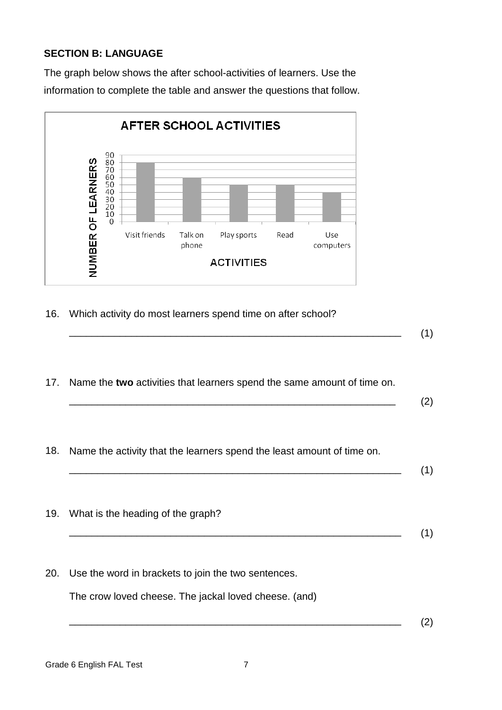# **SECTION B: LANGUAGE**

The graph below shows the after school-activities of learners. Use the information to complete the table and answer the questions that follow.



16. Which activity do most learners spend time on after school?

\_\_\_\_\_\_\_\_\_\_\_\_\_\_\_\_\_\_\_\_\_\_\_\_\_\_\_\_\_\_\_\_\_\_\_\_\_\_\_\_\_\_\_\_\_\_\_\_\_\_\_\_\_\_\_\_\_\_\_ (1)

17. Name the **two** activities that learners spend the same amount of time on.

 $\overline{\phantom{a}}$  (2)

18. Name the activity that the learners spend the least amount of time on.

\_\_\_\_\_\_\_\_\_\_\_\_\_\_\_\_\_\_\_\_\_\_\_\_\_\_\_\_\_\_\_\_\_\_\_\_\_\_\_\_\_\_\_\_\_\_\_\_\_\_\_\_\_\_\_\_\_\_\_ (1)

- 19. What is the heading of the graph? \_\_\_\_\_\_\_\_\_\_\_\_\_\_\_\_\_\_\_\_\_\_\_\_\_\_\_\_\_\_\_\_\_\_\_\_\_\_\_\_\_\_\_\_\_\_\_\_\_\_\_\_\_\_\_\_\_\_\_ (1)
- 20. Use the word in brackets to join the two sentences.

The crow loved cheese. The jackal loved cheese. (and)

 $\overline{\phantom{a}}$  (2)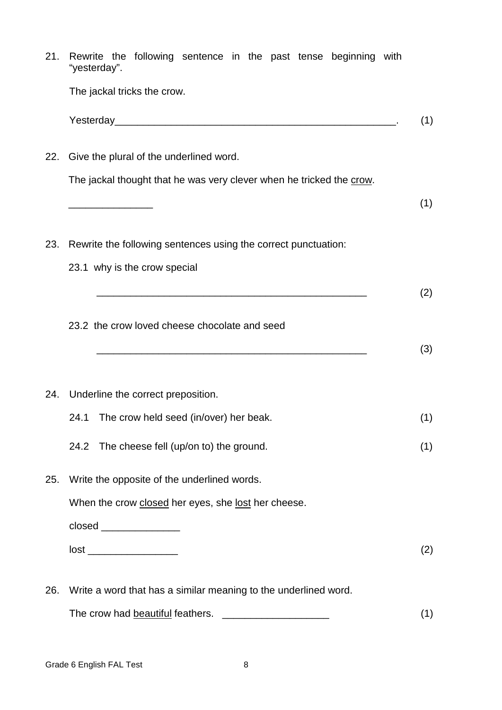| 21. | Rewrite the following sentence in the past tense beginning with<br>"yesterday".                                 |            |  |  |  |  |  |  |
|-----|-----------------------------------------------------------------------------------------------------------------|------------|--|--|--|--|--|--|
|     | The jackal tricks the crow.                                                                                     |            |  |  |  |  |  |  |
|     |                                                                                                                 | (1)        |  |  |  |  |  |  |
| 22. | Give the plural of the underlined word.<br>The jackal thought that he was very clever when he tricked the crow. |            |  |  |  |  |  |  |
|     |                                                                                                                 |            |  |  |  |  |  |  |
|     |                                                                                                                 | (1)        |  |  |  |  |  |  |
| 23. | Rewrite the following sentences using the correct punctuation:                                                  |            |  |  |  |  |  |  |
|     | 23.1 why is the crow special                                                                                    |            |  |  |  |  |  |  |
|     | 23.2 the crow loved cheese chocolate and seed                                                                   | (2)<br>(3) |  |  |  |  |  |  |
|     | 24. Underline the correct preposition.                                                                          |            |  |  |  |  |  |  |
|     | The crow held seed (in/over) her beak.<br>24.1                                                                  | (1)        |  |  |  |  |  |  |
|     | The cheese fell (up/on to) the ground.<br>24.2                                                                  | (1)        |  |  |  |  |  |  |
| 25. | Write the opposite of the underlined words.                                                                     |            |  |  |  |  |  |  |
|     | When the crow closed her eyes, she lost her cheese.                                                             |            |  |  |  |  |  |  |
|     | closed ________________                                                                                         |            |  |  |  |  |  |  |
|     |                                                                                                                 | (2)        |  |  |  |  |  |  |
| 26. | Write a word that has a similar meaning to the underlined word.                                                 |            |  |  |  |  |  |  |
|     | The crow had beautiful feathers.                                                                                |            |  |  |  |  |  |  |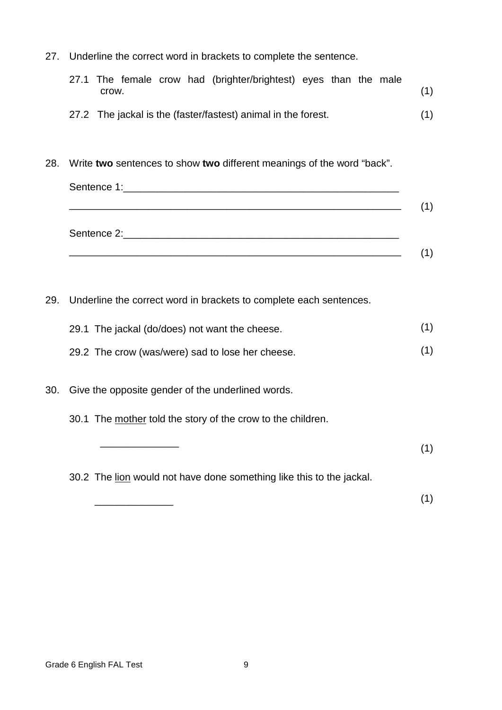27. Underline the correct word in brackets to complete the sentence.

|       |  | 27.1 The female crow had (brighter/brightest) eyes than the male |  |  |     |
|-------|--|------------------------------------------------------------------|--|--|-----|
| crow. |  |                                                                  |  |  | (1) |
|       |  | 27.2 The jackal is the (faster/fastest) animal in the forest.    |  |  | (1) |

28. Write **two** sentences to show **two** different meanings of the word "back".

| Sentence 1:____________________    |  |
|------------------------------------|--|
| Sentence 2:_______________________ |  |
|                                    |  |

29. Underline the correct word in brackets to complete each sentences.

- 29.2 The crow (was/were) sad to lose her cheese. (1)
- 30. Give the opposite gender of the underlined words.
	- 30.1 The mother told the story of the crow to the children.
	- $\overline{\phantom{a}}$  , and the contract of the contract of the contract of the contract of the contract of the contract of the contract of the contract of the contract of the contract of the contract of the contract of the contrac (1)

30.2 The lion would not have done something like this to the jackal.

(1)

 $\frac{1}{\sqrt{2}}$  ,  $\frac{1}{\sqrt{2}}$  ,  $\frac{1}{\sqrt{2}}$  ,  $\frac{1}{\sqrt{2}}$  ,  $\frac{1}{\sqrt{2}}$  ,  $\frac{1}{\sqrt{2}}$  ,  $\frac{1}{\sqrt{2}}$  ,  $\frac{1}{\sqrt{2}}$  ,  $\frac{1}{\sqrt{2}}$  ,  $\frac{1}{\sqrt{2}}$  ,  $\frac{1}{\sqrt{2}}$  ,  $\frac{1}{\sqrt{2}}$  ,  $\frac{1}{\sqrt{2}}$  ,  $\frac{1}{\sqrt{2}}$  ,  $\frac{1}{\sqrt{2}}$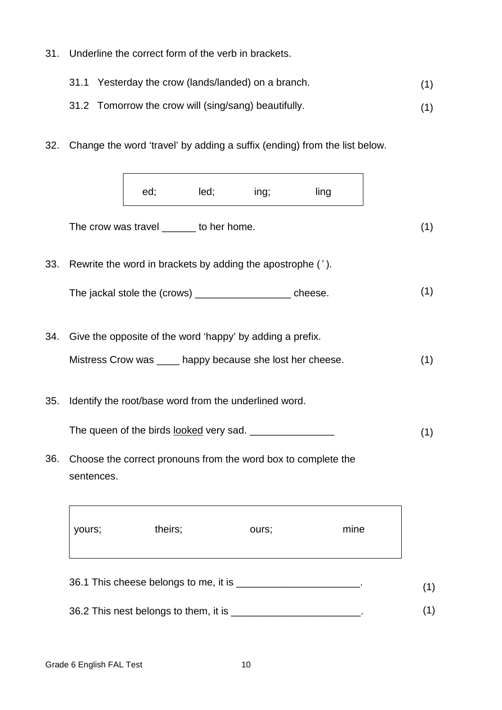31. Underline the correct form of the verb in brackets.

|  | 31.1 Yesterday the crow (lands/landed) on a branch. |  |
|--|-----------------------------------------------------|--|
|--|-----------------------------------------------------|--|

#### 31.2 Tomorrow the crow will (sing/sang) beautifully. (1)

32. Change the word 'travel' by adding a suffix (ending) from the list below.

|     |            | ed;     | led;                                    | ing;                                                       | ling                                                          |
|-----|------------|---------|-----------------------------------------|------------------------------------------------------------|---------------------------------------------------------------|
|     |            |         | The crow was travel ______ to her home. |                                                            |                                                               |
| 33. |            |         |                                         | Rewrite the word in brackets by adding the apostrophe ('). |                                                               |
|     |            |         |                                         | The jackal stole the (crows) _____________________ cheese. |                                                               |
| 34. |            |         |                                         | Give the opposite of the word 'happy' by adding a prefix.  |                                                               |
|     |            |         |                                         | Mistress Crow was _____ happy because she lost her cheese. |                                                               |
| 35. |            |         |                                         | Identify the root/base word from the underlined word.      |                                                               |
|     |            |         |                                         |                                                            |                                                               |
| 36. | sentences. |         |                                         |                                                            | Choose the correct pronouns from the word box to complete the |
|     | yours;     | theirs; |                                         | ours;                                                      | mine                                                          |
|     |            |         |                                         |                                                            |                                                               |

36.2 This nest belongs to them, it is \_\_\_\_\_\_\_\_\_\_\_\_\_\_\_\_\_\_\_\_\_\_\_\_\_\_. (1)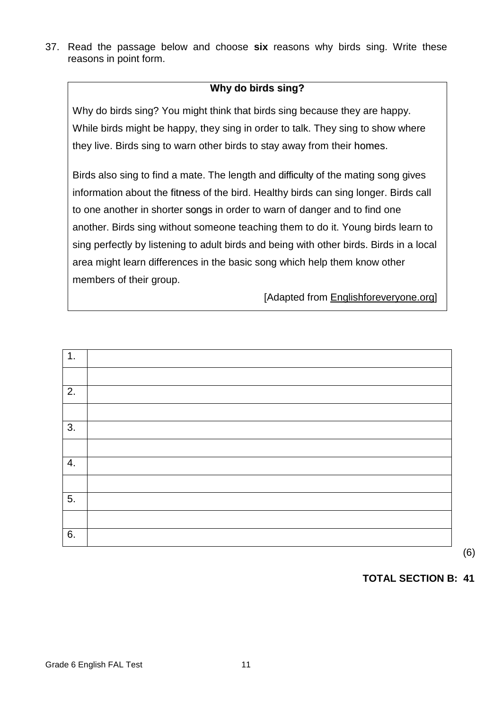37. Read the passage below and choose **six** reasons why birds sing. Write these reasons in point form.

# **Why do birds sing?**

Why do birds sing? You might think that birds sing because they are happy. While birds might be happy, they sing in order to talk. They sing to show where they live. Birds sing to warn other birds to stay away from their homes.

Birds also sing to find a mate. The length and difficulty of the mating song gives information about the fitness of the bird. Healthy birds can sing longer. Birds call to one another in shorter songs in order to warn of danger and to find one another. Birds sing without someone teaching them to do it. Young birds learn to sing perfectly by listening to adult birds and being with other birds. Birds in a local area might learn differences in the basic song which help them know other members of their group.

[Adapted from Englishforeveryone.org]



# **TOTAL SECTION B: 41**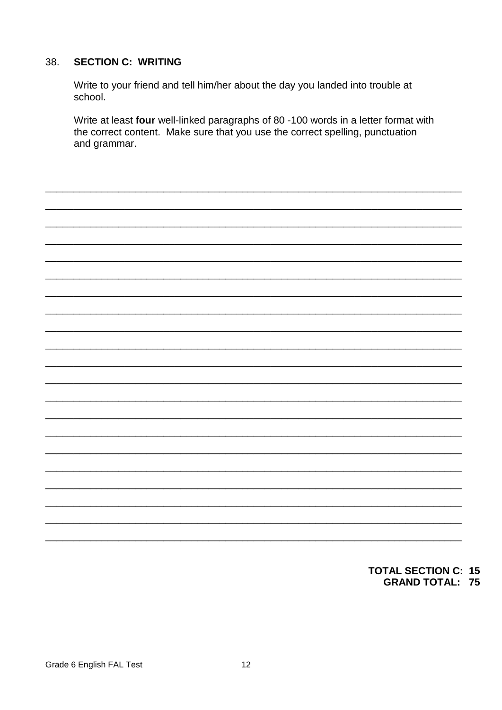#### **SECTION C: WRITING** 38.

Write to your friend and tell him/her about the day you landed into trouble at school.

Write at least four well-linked paragraphs of 80 -100 words in a letter format with the correct content. Make sure that you use the correct spelling, punctuation and grammar.

## **TOTAL SECTION C: 15 GRAND TOTAL: 75**